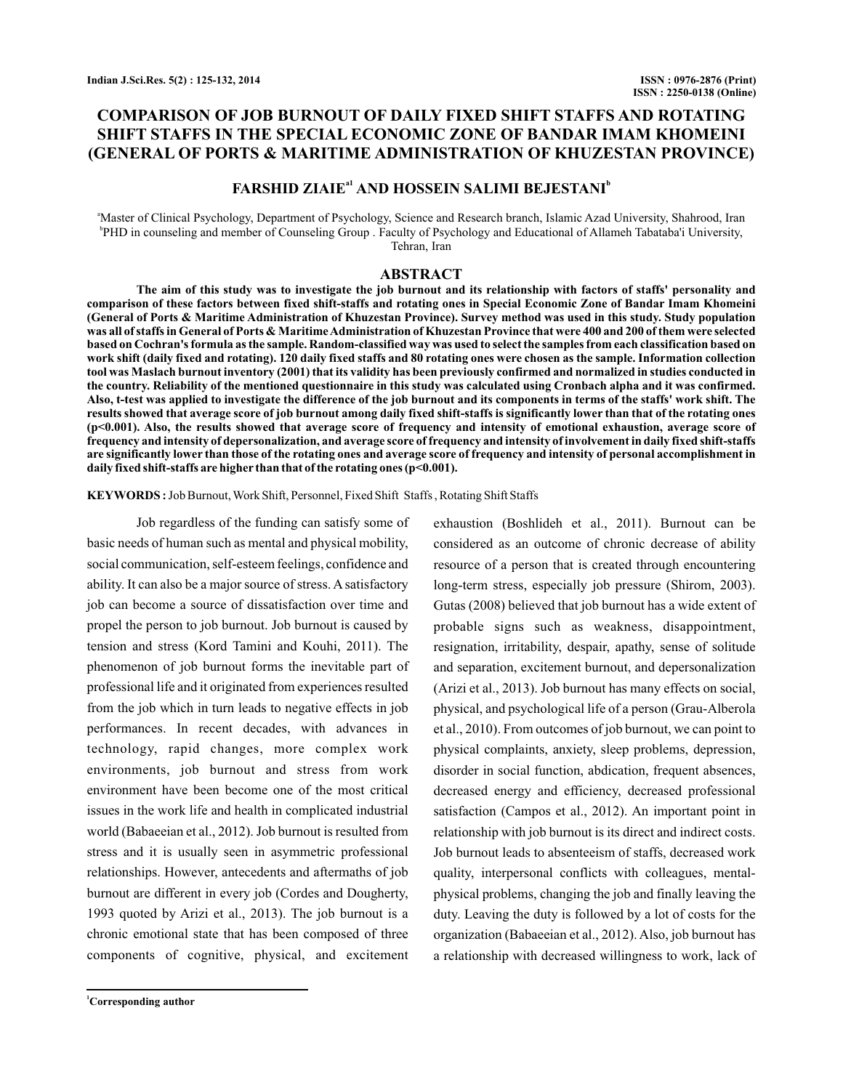# **COMPARISON OF JOB BURNOUT OF DAILY FIXED SHIFT STAFFS AND ROTATING SHIFT STAFFS IN THE SPECIAL ECONOMIC ZONE OF BANDAR IMAM KHOMEINI (GENERAL OF PORTS & MARITIME ADMINISTRATION OF KHUZESTAN PROVINCE)**

## **FARSHID ZIAIE<sup>a1</sup> AND HOSSEIN SALIMI BEJESTANI<sup>b</sup>**

<sup>a</sup>Master of Clinical Psychology, Department of Psychology, Science and Research branch, Islamic Azad University, Shahrood, Iran b PHD in counseling and member of Counseling Group . Faculty of Psychology and Educational of Allameh Tabataba'i University, Tehran, Iran

## **ABSTRACT**

**The aim of this study was to investigate the job burnout and its relationship with factors of staffs' personality and comparison of these factors between fixed shift-staffs and rotating ones in Special Economic Zone of Bandar Imam Khomeini (General of Ports & Maritime Administration of Khuzestan Province). Survey method was used in this study. Study population was all of staffs in General of Ports & MaritimeAdministration of Khuzestan Province that were 400 and 200 of them were selected based on Cochran's formula as the sample. Random-classified way was used to select the samples from each classification based on work shift (daily fixed and rotating). 120 daily fixed staffs and 80 rotating ones were chosen as the sample. Information collection tool was Maslach burnout inventory (2001) that its validity has been previously confirmed and normalized in studies conducted in the country. Reliability of the mentioned questionnaire in this study was calculated using Cronbach alpha and it was confirmed. Also, t-test was applied to investigate the difference of the job burnout and its components in terms of the staffs' work shift. The results showed that average score of job burnout among daily fixed shift-staffs is significantly lower than that of the rotating ones (p<0.001). Also, the results showed that average score of frequency and intensity of emotional exhaustion, average score of frequency and intensity of depersonalization, and average score of frequency and intensity of involvement in daily fixed shift-staffs are significantly lower than those of the rotating ones and average score of frequency and intensity of personal accomplishment in daily fixed shift-staffs are higher than that of the rotating ones (p<0.001).**

**KEYWORDS :**Job Burnout,Work Shift, Personnel, Fixed Shift Staffs , Rotating Shift Staffs

Job regardless of the funding can satisfy some of basic needs of human such as mental and physical mobility, social communication, self-esteem feelings, confidence and ability. It can also be a major source of stress. A satisfactory job can become a source of dissatisfaction over time and propel the person to job burnout. Job burnout is caused by tension and stress (Kord Tamini and Kouhi, 2011). The phenomenon of job burnout forms the inevitable part of professional life and it originated from experiences resulted from the job which in turn leads to negative effects in job performances. In recent decades, with advances in technology, rapid changes, more complex work environments, job burnout and stress from work environment have been become one of the most critical issues in the work life and health in complicated industrial world (Babaeeian et al., 2012). Job burnout is resulted from stress and it is usually seen in asymmetric professional relationships. However, antecedents and aftermaths of job burnout are different in every job (Cordes and Dougherty, 1993 quoted by Arizi et al., 2013). The job burnout is a chronic emotional state that has been composed of three components of cognitive, physical, and excitement

**<sup>1</sup>Corresponding author**

exhaustion (Boshlideh et al., 2011). Burnout can be considered as an outcome of chronic decrease of ability resource of a person that is created through encountering long-term stress, especially job pressure (Shirom, 2003). Gutas (2008) believed that job burnout has a wide extent of probable signs such as weakness, disappointment, resignation, irritability, despair, apathy, sense of solitude and separation, excitement burnout, and depersonalization (Arizi et al., 2013). Job burnout has many effects on social, physical, and psychological life of a person (Grau-Alberola et al., 2010). From outcomes of job burnout, we can point to physical complaints, anxiety, sleep problems, depression, disorder in social function, abdication, frequent absences, decreased energy and efficiency, decreased professional satisfaction (Campos et al., 2012). An important point in relationship with job burnout is its direct and indirect costs. Job burnout leads to absenteeism of staffs, decreased work quality, interpersonal conflicts with colleagues, mentalphysical problems, changing the job and finally leaving the duty. Leaving the duty is followed by a lot of costs for the organization (Babaeeian et al., 2012). Also, job burnout has a relationship with decreased willingness to work, lack of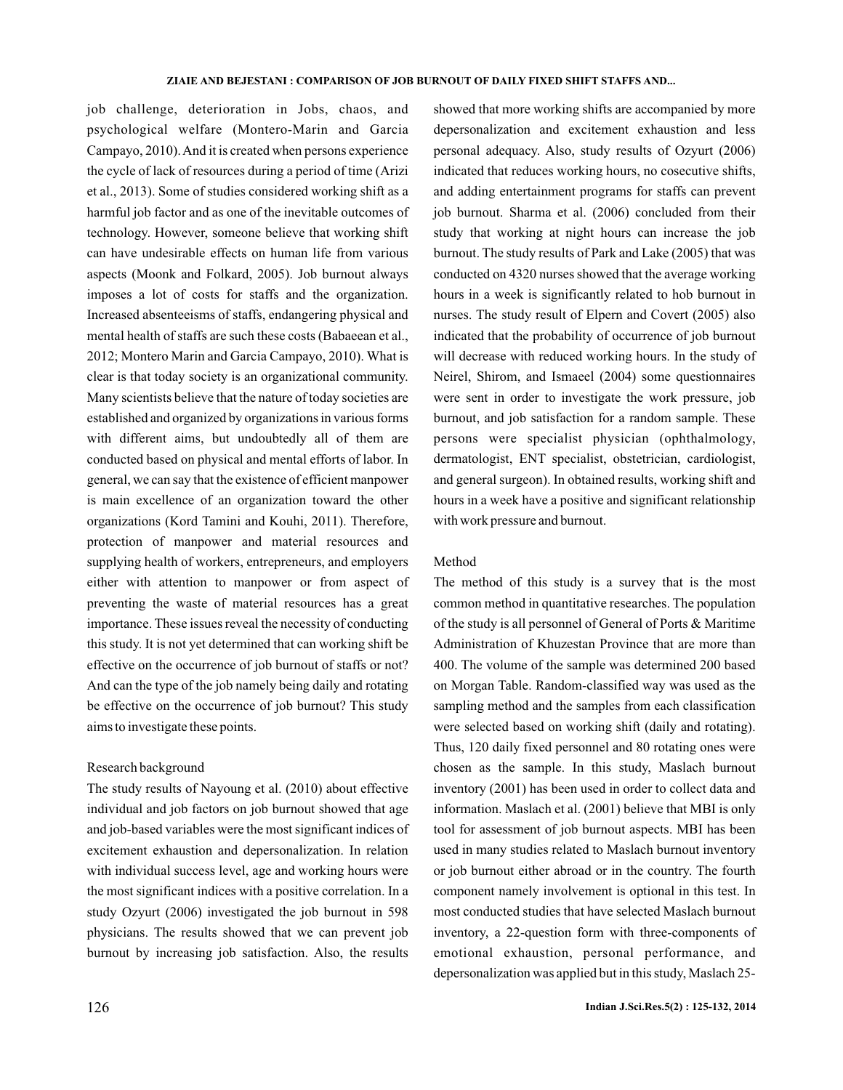job challenge, deterioration in Jobs, chaos, and psychological welfare (Montero-Marin and Garcia Campayo, 2010).And it is created when persons experience the cycle of lack of resources during a period of time (Arizi et al., 2013). Some of studies considered working shift as a harmful job factor and as one of the inevitable outcomes of technology. However, someone believe that working shift can have undesirable effects on human life from various aspects (Moonk and Folkard, 2005). Job burnout always imposes a lot of costs for staffs and the organization. Increased absenteeisms of staffs, endangering physical and mental health of staffs are such these costs (Babaeean et al., 2012; Montero Marin and Garcia Campayo, 2010). What is clear is that today society is an organizational community. Many scientists believe that the nature of today societies are established and organized by organizations in various forms with different aims, but undoubtedly all of them are conducted based on physical and mental efforts of labor. In general, we can say that the existence of efficient manpower is main excellence of an organization toward the other organizations (Kord Tamini and Kouhi, 2011). Therefore, protection of manpower and material resources and supplying health of workers, entrepreneurs, and employers either with attention to manpower or from aspect of preventing the waste of material resources has a great importance. These issues reveal the necessity of conducting this study. It is not yet determined that can working shift be effective on the occurrence of job burnout of staffs or not? And can the type of the job namely being daily and rotating be effective on the occurrence of job burnout? This study aims to investigate these points.

#### Research background

The study results of Nayoung et al. (2010) about effective individual and job factors on job burnout showed that age and job-based variables were the most significant indices of excitement exhaustion and depersonalization. In relation with individual success level, age and working hours were the most significant indices with a positive correlation. In a study Ozyurt (2006) investigated the job burnout in 598 physicians. The results showed that we can prevent job burnout by increasing job satisfaction. Also, the results

showed that more working shifts are accompanied by more depersonalization and excitement exhaustion and less personal adequacy. Also, study results of Ozyurt (2006) indicated that reduces working hours, no cosecutive shifts, and adding entertainment programs for staffs can prevent job burnout. Sharma et al. (2006) concluded from their study that working at night hours can increase the job burnout. The study results of Park and Lake (2005) that was conducted on 4320 nurses showed that the average working hours in a week is significantly related to hob burnout in nurses. The study result of Elpern and Covert (2005) also indicated that the probability of occurrence of job burnout will decrease with reduced working hours. In the study of Neirel, Shirom, and Ismaeel (2004) some questionnaires were sent in order to investigate the work pressure, job burnout, and job satisfaction for a random sample. These persons were specialist physician (ophthalmology, dermatologist, ENT specialist, obstetrician, cardiologist, and general surgeon). In obtained results, working shift and hours in a week have a positive and significant relationship with work pressure and burnout.

#### Method

The method of this study is a survey that is the most common method in quantitative researches. The population of the study is all personnel of General of Ports & Maritime Administration of Khuzestan Province that are more than 400. The volume of the sample was determined 200 based on Morgan Table. Random-classified way was used as the sampling method and the samples from each classification were selected based on working shift (daily and rotating). Thus, 120 daily fixed personnel and 80 rotating ones were chosen as the sample. In this study, Maslach burnout inventory (2001) has been used in order to collect data and information. Maslach et al. (2001) believe that MBI is only tool for assessment of job burnout aspects. MBI has been used in many studies related to Maslach burnout inventory or job burnout either abroad or in the country. The fourth component namely involvement is optional in this test. In most conducted studies that have selected Maslach burnout inventory, a 22-question form with three-components of emotional exhaustion, personal performance, and depersonalization was applied but in this study, Maslach 25-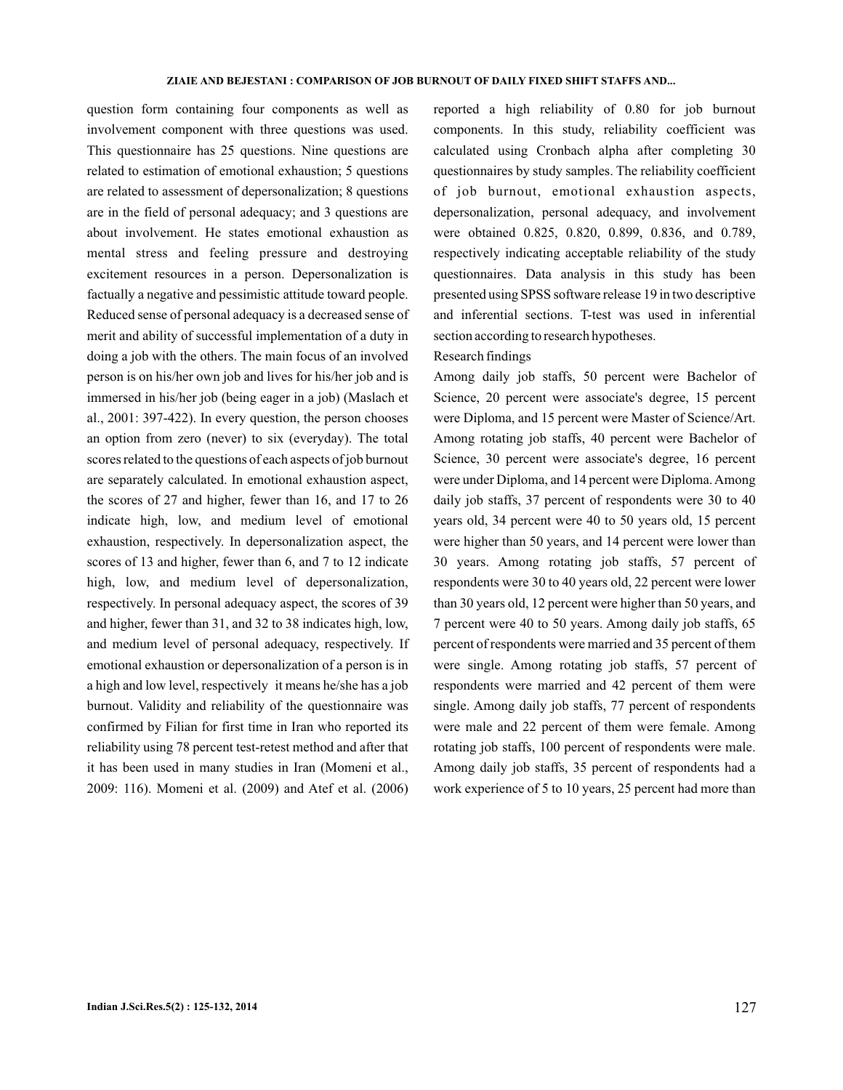question form containing four components as well as involvement component with three questions was used. This questionnaire has 25 questions. Nine questions are related to estimation of emotional exhaustion; 5 questions are related to assessment of depersonalization; 8 questions are in the field of personal adequacy; and 3 questions are about involvement. He states emotional exhaustion as mental stress and feeling pressure and destroying excitement resources in a person. Depersonalization is factually a negative and pessimistic attitude toward people. Reduced sense of personal adequacy is a decreased sense of merit and ability of successful implementation of a duty in doing a job with the others. The main focus of an involved person is on his/her own job and lives for his/her job and is immersed in his/her job (being eager in a job) (Maslach et al., 2001: 397-422). In every question, the person chooses an option from zero (never) to six (everyday). The total scores related to the questions of each aspects of job burnout are separately calculated. In emotional exhaustion aspect, the scores of 27 and higher, fewer than 16, and 17 to 26 indicate high, low, and medium level of emotional exhaustion, respectively. In depersonalization aspect, the scores of 13 and higher, fewer than 6, and 7 to 12 indicate high, low, and medium level of depersonalization, respectively. In personal adequacy aspect, the scores of 39 and higher, fewer than 31, and 32 to 38 indicates high, low, and medium level of personal adequacy, respectively. If emotional exhaustion or depersonalization of a person is in a high and low level, respectively it means he/she has a job burnout. Validity and reliability of the questionnaire was confirmed by Filian for first time in Iran who reported its reliability using 78 percent test-retest method and after that it has been used in many studies in Iran (Momeni et al., 2009: 116). Momeni et al. (2009) and Atef et al. (2006)

reported a high reliability of 0.80 for job burnout components. In this study, reliability coefficient was calculated using Cronbach alpha after completing 30 questionnaires by study samples. The reliability coefficient of job burnout, emotional exhaustion aspects, depersonalization, personal adequacy, and involvement were obtained 0.825, 0.820, 0.899, 0.836, and 0.789, respectively indicating acceptable reliability of the study questionnaires. Data analysis in this study has been presented using SPSS software release 19 in two descriptive and inferential sections. T-test was used in inferential section according to research hypotheses.

## Research findings

Among daily job staffs, 50 percent were Bachelor of Science, 20 percent were associate's degree, 15 percent were Diploma, and 15 percent were Master of Science/Art. Among rotating job staffs, 40 percent were Bachelor of Science, 30 percent were associate's degree, 16 percent were under Diploma, and 14 percent were Diploma.Among daily job staffs, 37 percent of respondents were 30 to 40 years old, 34 percent were 40 to 50 years old, 15 percent were higher than 50 years, and 14 percent were lower than 30 years. Among rotating job staffs, 57 percent of respondents were 30 to 40 years old, 22 percent were lower than 30 years old, 12 percent were higher than 50 years, and 7 percent were 40 to 50 years. Among daily job staffs, 65 percent of respondents were married and 35 percent of them were single. Among rotating job staffs, 57 percent of respondents were married and 42 percent of them were single. Among daily job staffs, 77 percent of respondents were male and 22 percent of them were female. Among rotating job staffs, 100 percent of respondents were male. Among daily job staffs, 35 percent of respondents had a work experience of 5 to 10 years, 25 percent had more than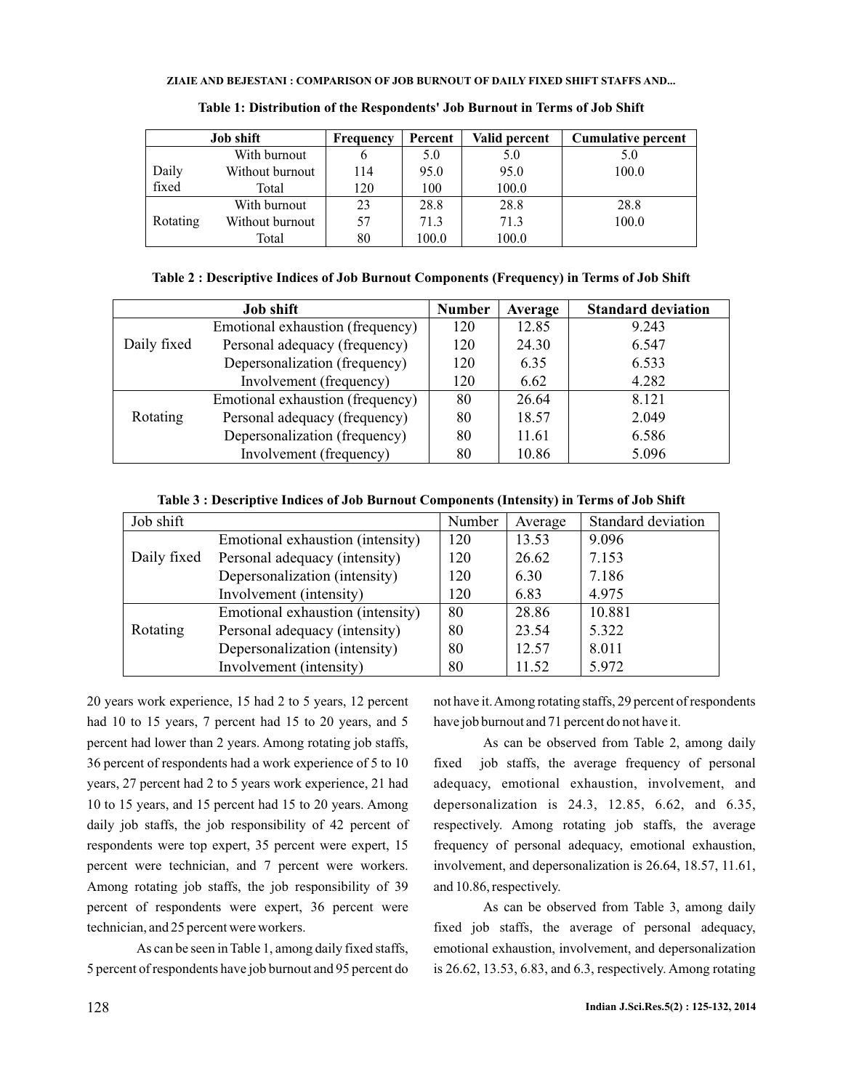#### **ZIAIE AND BEJESTANI : COMPARISON OF JOB BURNOUT OF DAILY FIXED SHIFT STAFFS AND...**

| <b>Job shift</b> |                 | <b>Frequency</b> | Percent | Valid percent | <b>Cumulative percent</b> |  |
|------------------|-----------------|------------------|---------|---------------|---------------------------|--|
|                  | With burnout    | o                | 5.0     | 5.0           | 5.0                       |  |
| Daily            | Without burnout | 114              | 95.0    | 95.0          | 100.0                     |  |
| fixed            | Total           | 120              | 100     | 100.0         |                           |  |
|                  | With burnout    | 23               | 28.8    | 28.8          | 28.8                      |  |
| Rotating         | Without burnout | 57               | 71.3    | 71.3          | 100.0                     |  |
|                  | Total           | 80               | 100.0   | 100.0         |                           |  |

**Table 1: Distribution of the Respondents' Job Burnout in Terms of Job Shift**

## **Table 2 : Descriptive Indices of Job Burnout Components (Frequency) in Terms of Job Shift**

|             | <b>Job shift</b>                 | <b>Number</b> | Average | <b>Standard deviation</b> |
|-------------|----------------------------------|---------------|---------|---------------------------|
|             | Emotional exhaustion (frequency) | 120           | 12.85   | 9.243                     |
| Daily fixed | Personal adequacy (frequency)    | 120           | 24.30   | 6.547                     |
|             | Depersonalization (frequency)    | 120           | 6.35    | 6.533                     |
|             | 120                              | 6.62          | 4.282   |                           |
|             | Emotional exhaustion (frequency) | 80            | 26.64   | 8.121                     |
| Rotating    | Personal adequacy (frequency)    | 80            | 18.57   | 2.049                     |
|             | Depersonalization (frequency)    | 80            | 11.61   | 6.586                     |
|             | Involvement (frequency)          | 80            | 10.86   | 5.096                     |

**Table 3 : Descriptive Indices of Job Burnout Components (Intensity) in Terms of Job Shift**

| Job shift   |                                  | Number | Average | Standard deviation |
|-------------|----------------------------------|--------|---------|--------------------|
|             | Emotional exhaustion (intensity) | 120    | 13.53   | 9.096              |
| Daily fixed | Personal adequacy (intensity)    | 120    | 26.62   | 7.153              |
|             | Depersonalization (intensity)    | 120    | 6.30    | 7.186              |
|             | Involvement (intensity)          | 120    | 6.83    | 4.975              |
|             | Emotional exhaustion (intensity) | 80     | 28.86   | 10.881             |
| Rotating    | Personal adequacy (intensity)    | 80     | 23.54   | 5.322              |
|             | Depersonalization (intensity)    | 80     | 12.57   | 8.011              |
|             | Involvement (intensity)          | 80     | 11.52   | 5.972              |

20 years work experience, 15 had 2 to 5 years, 12 percent had 10 to 15 years, 7 percent had 15 to 20 years, and 5 percent had lower than 2 years. Among rotating job staffs, 36 percent of respondents had a work experience of 5 to 10 years, 27 percent had 2 to 5 years work experience, 21 had 10 to 15 years, and 15 percent had 15 to 20 years. Among daily job staffs, the job responsibility of 42 percent of respondents were top expert, 35 percent were expert, 15 percent were technician, and 7 percent were workers. Among rotating job staffs, the job responsibility of 39 percent of respondents were expert, 36 percent were technician, and 25 percent were workers.

As can be seen in Table 1, among daily fixed staffs, 5 percent of respondents have job burnout and 95 percent do not have it.Among rotating staffs, 29 percent of respondents have job burnout and 71 percent do not have it.

As can be observed from Table 2, among daily fixed job staffs, the average frequency of personal adequacy, emotional exhaustion, involvement, and depersonalization is 24.3, 12.85, 6.62, and 6.35, respectively. Among rotating job staffs, the average frequency of personal adequacy, emotional exhaustion, involvement, and depersonalization is 26.64, 18.57, 11.61, and 10.86, respectively.

As can be observed from Table 3, among daily fixed job staffs, the average of personal adequacy, emotional exhaustion, involvement, and depersonalization is 26.62, 13.53, 6.83, and 6.3, respectively. Among rotating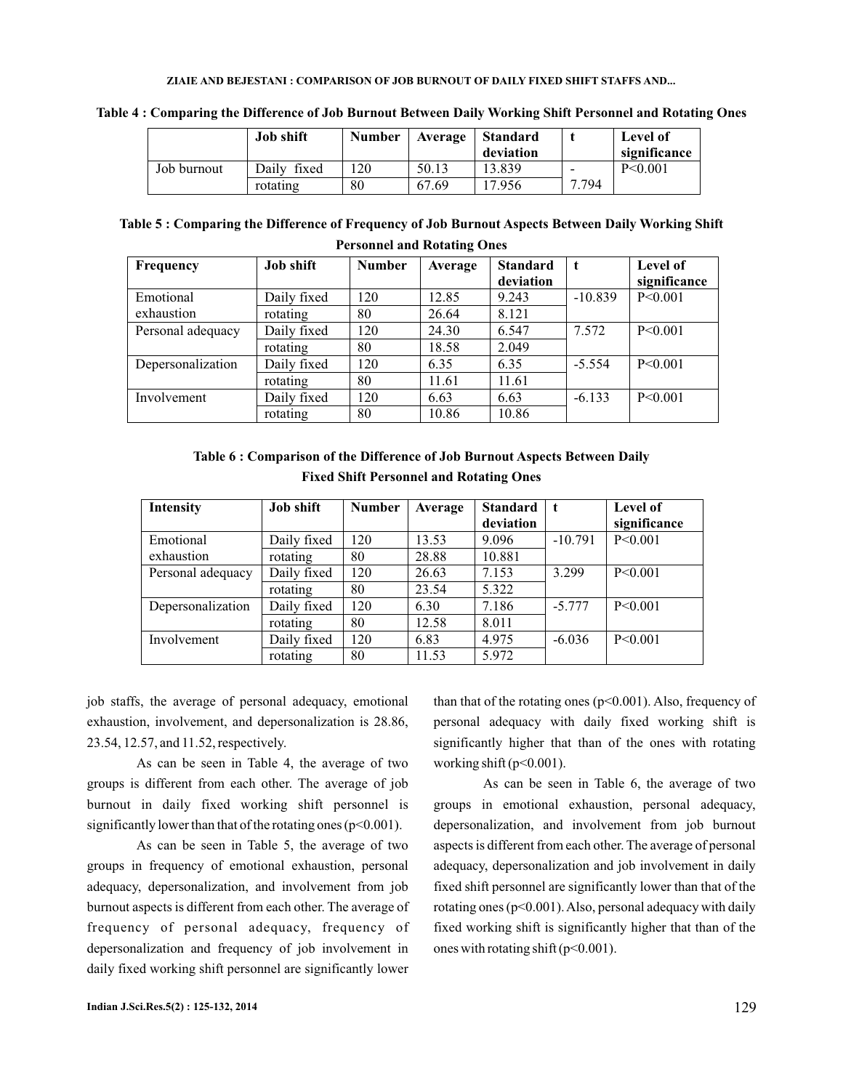|             | <b>Job shift</b> | <b>Number</b> | Average | Standard<br>deviation |                          | Level of<br>significance |
|-------------|------------------|---------------|---------|-----------------------|--------------------------|--------------------------|
| Job burnout | Daily fixed      | 120           | 50.13   | 13.839                | $\overline{\phantom{0}}$ | P< 0.001                 |
|             | rotating         | 80            | 67.69   | 17.956                | .794                     |                          |

**Table 4 : Comparing the Difference of Job Burnout Between Daily Working Shift Personnel and Rotating Ones**

| Table 5: Comparing the Difference of Frequency of Job Burnout Aspects Between Daily Working Shift |  |
|---------------------------------------------------------------------------------------------------|--|
| <b>Personnel and Rotating Ones</b>                                                                |  |

| Frequency         | <b>Job shift</b> | <b>Number</b> | Average | <b>Standard</b> | t         | <b>Level of</b> |
|-------------------|------------------|---------------|---------|-----------------|-----------|-----------------|
|                   |                  |               |         | deviation       |           | significance    |
| Emotional         | Daily fixed      | 120           | 12.85   | 9.243           | $-10.839$ | P < 0.001       |
| exhaustion        | rotating         | 80            | 26.64   | 8.121           |           |                 |
| Personal adequacy | Daily fixed      | 120           | 24.30   | 6.547           | 7.572     | $P \le 0.001$   |
|                   | rotating         | 80            | 18.58   | 2.049           |           |                 |
| Depersonalization | Daily fixed      | 120           | 6.35    | 6.35            | $-5.554$  | P < 0.001       |
|                   | rotating         | 80            | 11.61   | 11.61           |           |                 |
| Involvement       | Daily fixed      | 120           | 6.63    | 6.63            | $-6.133$  | P < 0.001       |
|                   | rotating         | 80            | 10.86   | 10.86           |           |                 |

**Table 6 : Comparison of the Difference of Job Burnout Aspects Between Daily Fixed Shift Personnel and Rotating Ones**

| <b>Intensity</b>  | <b>Job shift</b> | <b>Number</b> | Average | <b>Standard</b><br>deviation | $\mathbf{t}$ | <b>Level of</b><br>significance |
|-------------------|------------------|---------------|---------|------------------------------|--------------|---------------------------------|
| Emotional         | Daily fixed      | 120           | 13.53   | 9.096                        | $-10.791$    | P < 0.001                       |
| exhaustion        | rotating         | 80            | 28.88   | 10.881                       |              |                                 |
| Personal adequacy | Daily fixed      | 120           | 26.63   | 7.153                        | 3.299        | P < 0.001                       |
|                   | rotating         | 80            | 23.54   | 5.322                        |              |                                 |
| Depersonalization | Daily fixed      | 120           | 6.30    | 7.186                        | $-5.777$     | P < 0.001                       |
|                   | rotating         | 80            | 12.58   | 8.011                        |              |                                 |
| Involvement       | Daily fixed      | 120           | 6.83    | 4.975                        | $-6.036$     | P < 0.001                       |
|                   | rotating         | 80            | 11.53   | 5.972                        |              |                                 |

job staffs, the average of personal adequacy, emotional exhaustion, involvement, and depersonalization is 28.86, 23.54, 12.57, and 11.52, respectively.

As can be seen in Table 4, the average of two groups is different from each other. The average of job burnout in daily fixed working shift personnel is significantly lower than that of the rotating ones ( $p<0.001$ ).

As can be seen in Table 5, the average of two groups in frequency of emotional exhaustion, personal adequacy, depersonalization, and involvement from job burnout aspects is different from each other. The average of frequency of personal adequacy, frequency of depersonalization and frequency of job involvement in daily fixed working shift personnel are significantly lower

than that of the rotating ones ( $p<0.001$ ). Also, frequency of personal adequacy with daily fixed working shift is significantly higher that than of the ones with rotating working shift (p<0.001).

As can be seen in Table 6, the average of two groups in emotional exhaustion, personal adequacy, depersonalization, and involvement from job burnout aspects is different from each other. The average of personal adequacy, depersonalization and job involvement in daily fixed shift personnel are significantly lower than that of the rotating ones ( $p<0.001$ ). Also, personal adequacy with daily fixed working shift is significantly higher that than of the ones with rotating shift  $(p<0.001)$ .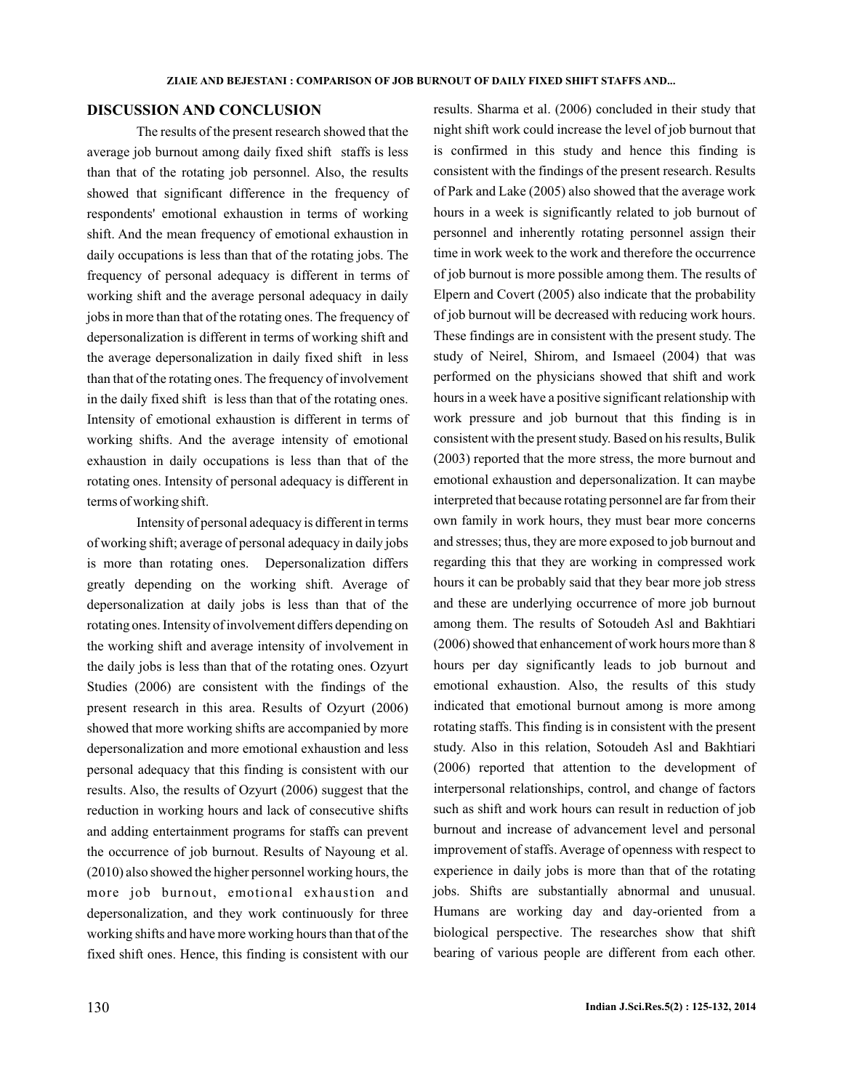## **DISCUSSION AND CONCLUSION**

The results of the present research showed that the average job burnout among daily fixed shift staffs is less than that of the rotating job personnel. Also, the results showed that significant difference in the frequency of respondents' emotional exhaustion in terms of working shift. And the mean frequency of emotional exhaustion in daily occupations is less than that of the rotating jobs. The frequency of personal adequacy is different in terms of working shift and the average personal adequacy in daily jobs in more than that of the rotating ones. The frequency of depersonalization is different in terms of working shift and the average depersonalization in daily fixed shift in less than that of the rotating ones. The frequency of involvement in the daily fixed shift is less than that of the rotating ones. Intensity of emotional exhaustion is different in terms of working shifts. And the average intensity of emotional exhaustion in daily occupations is less than that of the rotating ones. Intensity of personal adequacy is different in terms of working shift.

Intensity of personal adequacy is different in terms of working shift; average of personal adequacy in daily jobs is more than rotating ones. Depersonalization differs greatly depending on the working shift. Average of depersonalization at daily jobs is less than that of the rotating ones. Intensity of involvement differs depending on the working shift and average intensity of involvement in the daily jobs is less than that of the rotating ones. Ozyurt Studies (2006) are consistent with the findings of the present research in this area. Results of Ozyurt (2006) showed that more working shifts are accompanied by more depersonalization and more emotional exhaustion and less personal adequacy that this finding is consistent with our results. Also, the results of Ozyurt (2006) suggest that the reduction in working hours and lack of consecutive shifts and adding entertainment programs for staffs can prevent the occurrence of job burnout. Results of Nayoung et al. (2010) also showed the higher personnel working hours, the more job burnout, emotional exhaustion and depersonalization, and they work continuously for three working shifts and have more working hours than that of the fixed shift ones. Hence, this finding is consistent with our night shift work could increase the level of job burnout that is confirmed in this study and hence this finding is consistent with the findings of the present research. Results of Park and Lake (2005) also showed that the average work hours in a week is significantly related to job burnout of personnel and inherently rotating personnel assign their time in work week to the work and therefore the occurrence of job burnout is more possible among them. The results of Elpern and Covert (2005) also indicate that the probability of job burnout will be decreased with reducing work hours. These findings are in consistent with the present study. The study of Neirel, Shirom, and Ismaeel (2004) that was performed on the physicians showed that shift and work hours in a week have a positive significant relationship with work pressure and job burnout that this finding is in consistent with the present study. Based on his results, Bulik (2003) reported that the more stress, the more burnout and emotional exhaustion and depersonalization. It can maybe interpreted that because rotating personnel are far from their own family in work hours, they must bear more concerns and stresses; thus, they are more exposed to job burnout and regarding this that they are working in compressed work hours it can be probably said that they bear more job stress and these are underlying occurrence of more job burnout among them. The results of Sotoudeh Asl and Bakhtiari (2006) showed that enhancement of work hours more than 8 hours per day significantly leads to job burnout and emotional exhaustion. Also, the results of this study indicated that emotional burnout among is more among rotating staffs. This finding is in consistent with the present study. Also in this relation, Sotoudeh Asl and Bakhtiari (2006) reported that attention to the development of interpersonal relationships, control, and change of factors such as shift and work hours can result in reduction of job burnout and increase of advancement level and personal improvement of staffs. Average of openness with respect to experience in daily jobs is more than that of the rotating jobs. Shifts are substantially abnormal and unusual. Humans are working day and day-oriented from a biological perspective. The researches show that shift bearing of various people are different from each other.

results. Sharma et al. (2006) concluded in their study that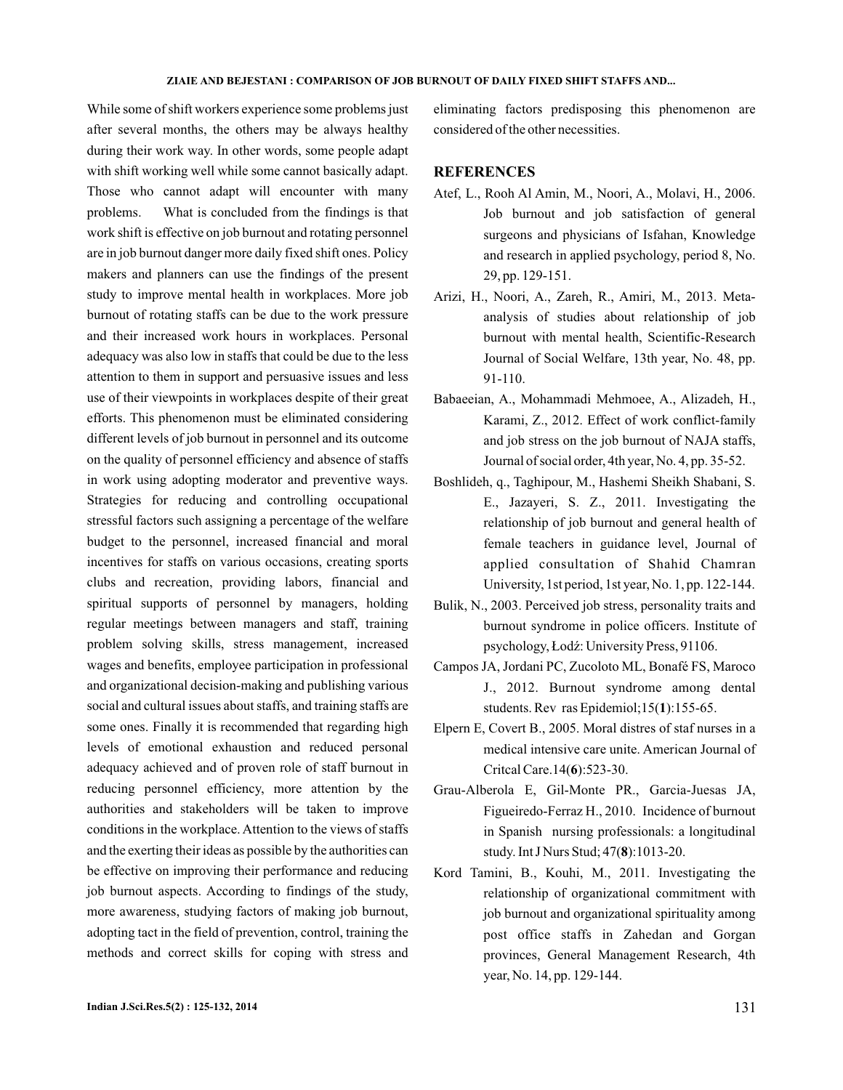#### **ZIAIE AND BEJESTANI : COMPARISON OF JOB BURNOUT OF DAILY FIXED SHIFT STAFFS AND...**

While some of shift workers experience some problems just after several months, the others may be always healthy during their work way. In other words, some people adapt with shift working well while some cannot basically adapt. Those who cannot adapt will encounter with many problems. What is concluded from the findings is that work shift is effective on job burnout and rotating personnel are in job burnout danger more daily fixed shift ones. Policy makers and planners can use the findings of the present study to improve mental health in workplaces. More job burnout of rotating staffs can be due to the work pressure and their increased work hours in workplaces. Personal adequacy was also low in staffs that could be due to the less attention to them in support and persuasive issues and less use of their viewpoints in workplaces despite of their great efforts. This phenomenon must be eliminated considering different levels of job burnout in personnel and its outcome on the quality of personnel efficiency and absence of staffs in work using adopting moderator and preventive ways. Strategies for reducing and controlling occupational stressful factors such assigning a percentage of the welfare budget to the personnel, increased financial and moral incentives for staffs on various occasions, creating sports clubs and recreation, providing labors, financial and spiritual supports of personnel by managers, holding regular meetings between managers and staff, training problem solving skills, stress management, increased wages and benefits, employee participation in professional and organizational decision-making and publishing various social and cultural issues about staffs, and training staffs are some ones. Finally it is recommended that regarding high levels of emotional exhaustion and reduced personal adequacy achieved and of proven role of staff burnout in reducing personnel efficiency, more attention by the authorities and stakeholders will be taken to improve conditions in the workplace. Attention to the views of staffs and the exerting their ideas as possible by the authorities can be effective on improving their performance and reducing job burnout aspects. According to findings of the study, more awareness, studying factors of making job burnout, adopting tact in the field of prevention, control, training the methods and correct skills for coping with stress and

eliminating factors predisposing this phenomenon are considered of the other necessities.

## **REFERENCES**

- Atef, L., Rooh Al Amin, M., Noori, A., Molavi, H., 2006. Job burnout and job satisfaction of general surgeons and physicians of Isfahan, Knowledge and research in applied psychology, period 8, No. 29, pp. 129-151.
- Arizi, H., Noori, A., Zareh, R., Amiri, M., 2013. Metaanalysis of studies about relationship of job burnout with mental health, Scientific-Research Journal of Social Welfare, 13th year, No. 48, pp. 91-110.
- Babaeeian, A., Mohammadi Mehmoee, A., Alizadeh, H., Karami, Z., 2012. Effect of work conflict-family and job stress on the job burnout of NAJA staffs, Journal of social order, 4th year, No. 4, pp. 35-52.
- Boshlideh, q., Taghipour, M., Hashemi Sheikh Shabani, S. E., Jazayeri, S. Z., 2011. Investigating the relationship of job burnout and general health of female teachers in guidance level, Journal of applied consultation of Shahid Chamran University, 1st period, 1st year, No. 1, pp. 122-144.
- Bulik, N., 2003. Perceived job stress, personality traits and burnout syndrome in police officers. Institute of psychology, Łodź: University Press, 91106.
- Campos JA, Jordani PC, Zucoloto ML, Bonafé FS, Maroco J., 2012. Burnout syndrome among dental students. Rev ras Epidemiol;15(1):155-65.
- Elpern E, Covert B., 2005. Moral distres of staf nurses in a medical intensive care unite. American Journal of Critcal Care.14(6):523-30.
- Grau-Alberola E, Gil-Monte PR., Garcia-Juesas JA, Figueiredo-Ferraz H., 2010. Incidence of burnout in Spanish nursing professionals: a longitudinal study. Int J Nurs Stud; 47(8):1013-20.
- Kord Tamini, B., Kouhi, M., 2011. Investigating the relationship of organizational commitment with job burnout and organizational spirituality among post office staffs in Zahedan and Gorgan provinces, General Management Research, 4th year, No. 14, pp. 129-144.